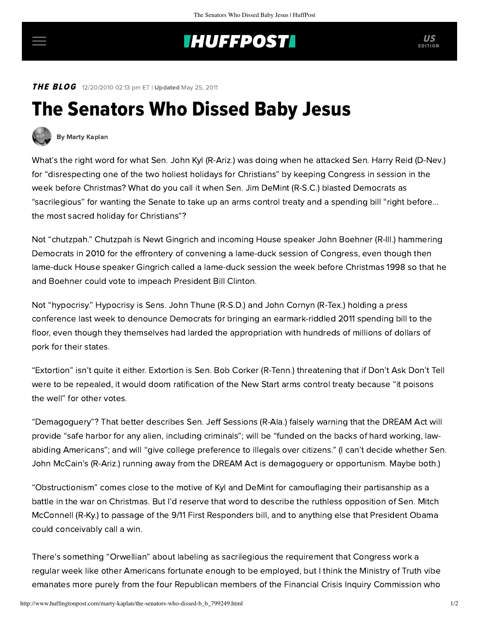## **INUFFPOSTI** US

E DITION

**THE BLOG** 12/20/2010 02:13 pm ET | Updated May 25, 2011

## The Senators Who Dissed Baby Jesus



[By Marty Kaplan](http://www.huffingtonpost.com/author/marty-kaplan)

What's the right word for what Sen. John Kyl (R-Ariz.) was doing when he [attacked](http://tpmdc.talkingpointsmemo.com/2010/12/kyl-reid-disrespecting-christians-by-suggesting-post-christmas-senate-votes.php) Sen. Harry Reid (D-Nev.) for "disrespecting one of the two holiest holidays for Christians" by keeping Congress in session in the week before Christmas? What do you call it when Sen. Jim DeMint (R-S.C.) [blasted](http://www.upi.com/Top_News/US/2010/12/16/DeMint-Crammed-agenda-sacrilegious/UPI-11821292517001/) Democrats as "sacrilegious" for wanting the Senate to take up an arms control treaty and a spending bill "right before... the most sacred holiday for Christians"?

Not "chutzpah." Chutzpah is Newt Gingrich and incoming House speaker John Boehner (R-Ill.) hammering Democrats in 2010 for the effrontery of convening a lame-duck session of Congress, even though then lame-duck House speaker [Gingrich called](http://mediamatters.org/blog/201012170016) a lame-duck session the week before Christmas 1998 so that he and Boehner could vote to impeach President Bill Clinton.

Not "hypocrisy." Hypocrisy is Sens. John Thune (R-S.D.) and John Cornyn (R-Tex.) holding a press conference last week to denounce Democrats for bringing an earmark-riddled 2011 spending bill to the floor, even though [they themselves](http://thinkprogress.org/2010/12/16/gop-earmark-hypocrisy/) had larded the appropriation with hundreds of millions of dollars of pork for their states.

"Extortion" isn't quite it either. Extortion is Sen. Bob Corker (R-Tenn.) [threatening](http://voices.washingtonpost.com/plum-line/2010/12/gop_senator_to_dems_if_you_try.html) that if Don't Ask Don't Tell were to be repealed, it would doom ratification of the New Start arms control treaty because "it poisons the well" for other votes.

"Demagoguery"? That better describes Sen. Jeff Sessions (R-Ala.) [falsely warning](http://politicalcorrection.org/factcheck/201011240002) that the DREAM Act will provide "safe harbor for any alien, including criminals"; will be "funded on the backs of hard working, lawabiding Americans"; and will "give college preference to illegals over citizens." (I can't decide whether Sen. John McCain's (R-Ariz.) running away from the DREAM Act is demagoguery or opportunism. Maybe both.)

"Obstructionism" comes close to the motive of Kyl and DeMint for camouflaging their partisanship as a battle in the war on Christmas. But I'd reserve that word to describe the ruthless opposition of Sen. Mitch McConnell (R-Ky.) to passage of the 9/11 First Responders bill, and to anything else that President Obama could conceivably call a win.

There's something "Orwellian" about labeling as sacrilegious the requirement that Congress work a regular week like other Americans fortunate enough to be employed, but I think the Ministry of Truth vibe emanates more purely from the four Republican members of the Financial Crisis Inquiry Commission who